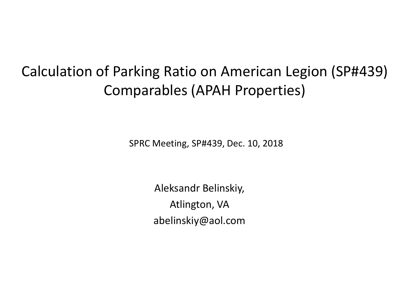## Calculation of Parking Ratio on American Legion (SP#439) Comparables (APAH Properties)

SPRC Meeting, SP#439, Dec. 10, 2018

Aleksandr Belinskiy, Atlington, VA abelinskiy@aol.com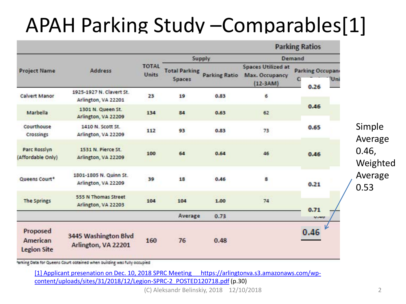# APAH Parking Study –Comparables[1]

|                                            |                                                 |                       |                                | <b>Parking Ratios</b> |                                                           |                                            |                   |
|--------------------------------------------|-------------------------------------------------|-----------------------|--------------------------------|-----------------------|-----------------------------------------------------------|--------------------------------------------|-------------------|
|                                            |                                                 | <b>TOTAL</b><br>Units |                                | Supply                | Demand                                                    |                                            |                   |
| <b>Project Name</b>                        | <b>Address</b>                                  |                       | <b>Total Parking</b><br>Spaces | <b>Parking Ratio</b>  | <b>Spaces Utilized at</b><br>Max. Occupancy<br>$(12-3AM)$ | <b>Parking Occupan</b><br>Uni<br>с<br>0.26 |                   |
| <b>Calvert Manor</b>                       | 1925-1927 N. Clavert St.<br>Arlington, VA 22201 | 23                    | 19                             | 0.83                  | 6                                                         |                                            |                   |
| Marbella                                   | 1301 N. Queen St.<br>Arlington, VA 22209        | 134                   | 84                             | 0.63                  | 62                                                        | 0.46                                       |                   |
| Courthouse<br>Crossings                    | 1410 N. Scott St.<br>Arlington, VA 22209        | 112                   | 93                             | 0.83                  | 73                                                        | 0.65                                       | Simple<br>Average |
| Parc Rosslyn<br>(Affordable Only)          | 1531 N. Pierce St.<br>Arlington, VA 22209       | 100                   | 64                             | 0.64                  | 46                                                        | 0.46                                       | 0.46,<br>Weighted |
| Queens Court*                              | 1801-1805 N. Quinn St.<br>Arlington, VA 22209   | 39                    | 18                             | 0.46                  | 8                                                         | 0.21                                       | Average<br>0.53   |
| <b>The Springs</b>                         | 555 N Thomas Street<br>Arlington, VA 22203      | 104                   | 104                            | 1.00                  | 74                                                        | 0.71                                       |                   |
|                                            |                                                 |                       | Average                        | 0.73                  |                                                           | V.40                                       |                   |
| Proposed<br>American<br><b>Legion Site</b> | 3445 Washington Blvd<br>Arlington, VA 22201     | 160                   | 76                             | 0.48                  |                                                           | 0.46                                       |                   |

arking Data for Queens Court obtained when building was fully occupied

[\[1\] Applicant presenation](https://arlingtonva.s3.amazonaws.com/wp-content/uploads/sites/31/2018/12/Legion-SPRC-2_POSTED120718.pdf) [on Dec. 10, 2018 SPRC Meeting https://arlingtonva.s3.amazonaws.com/wp](https://arlingtonva.s3.amazonaws.com/wp-content/uploads/sites/31/2018/12/Legion-SPRC-2_POSTED120718.pdf)[content/uploads/sites/31/2018/12/Legion-SPRC-2\\_POSTED120718.pdf](https://arlingtonva.s3.amazonaws.com/wp-content/uploads/sites/31/2018/12/Legion-SPRC-2_POSTED120718.pdf) (p.30)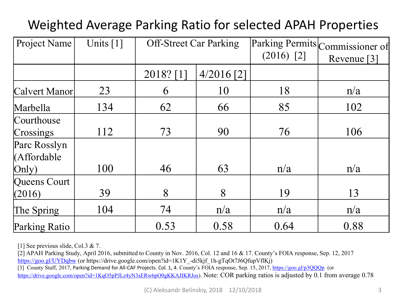## Weighted Average Parking Ratio for selected APAH Properties

| Project Name                          | Units $[1]$ | <b>Off-Street Car Parking</b> |              | $(2016)$ [2] | Parking Permits Commissioner of<br>Revenue [3] |
|---------------------------------------|-------------|-------------------------------|--------------|--------------|------------------------------------------------|
|                                       |             | 2018? [1                      | $4/2016$ [2] |              |                                                |
| Calvert Manor                         | 23          | 6                             | 10           | 18           | n/a                                            |
| Marbella                              | 134         | 62                            | 66           | 85           | 102                                            |
| Courthouse<br>Crossings               | 112         | 73                            | 90           | 76           | 106                                            |
| Parc Rosslyn<br>(Affordable<br>(Only) | 100         | 46                            | 63           | n/a          | n/a                                            |
| Queens Court<br>(2016)                | 39          | 8                             | 8            | 19           | 13                                             |
| The Spring                            | 104         | 74                            | n/a          | n/a          | n/a                                            |
| Parking Ratio                         |             | 0.53                          | 0.58         | 0.64         | 0.88                                           |

[1] See previous slide, Col.3 & 7.

[2] APAH Parking Study, April 2016, submitted to County in Nov. 2016, Col. 12 and 16 & 17. County's FOIA response, Sep. 12, 2017 <https://goo.gl/UYDqbw> (or https://drive.google.com/open?id=1K1Y\_-di5kjf\_1h-gTqOt7J6QfupVflKj) [3] County Staff, 2017, Parking Demand for All-CAF Projects. Col. 1, 4. County's FOIA response, Sep. 15, 2017,<https://goo.gl/p3QQQp> (or <https://drive.google.com/open?id=1KqO5pPJLz4yN3sERw6pO0gKKAJIKRJos>). Note: COR parking ratios is adjusted by 0.1 from average 0.78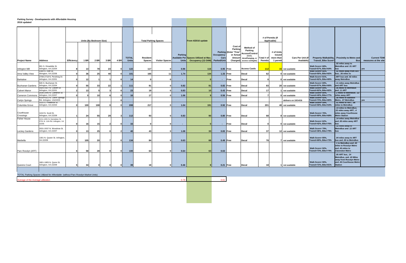#### **Parking Survey - Developments with Affordable Housing 2016 updated**

| 2016 updated            | Parking Survey - Developments with Affordable Housing                |            |                 |                                        |                 |      |                              |                                  |                                                      |                         |                                                                                         |                                   |                                                                                |                                                                       |                                                                |                                               |                                       |                                           |                                                                                                                      |                                            |
|-------------------------|----------------------------------------------------------------------|------------|-----------------|----------------------------------------|-----------------|------|------------------------------|----------------------------------|------------------------------------------------------|-------------------------|-----------------------------------------------------------------------------------------|-----------------------------------|--------------------------------------------------------------------------------|-----------------------------------------------------------------------|----------------------------------------------------------------|-----------------------------------------------|---------------------------------------|-------------------------------------------|----------------------------------------------------------------------------------------------------------------------|--------------------------------------------|
| <b>Project Name</b>     | <b>Address</b>                                                       | Efficiency | <b>1 BR</b>     | Units (By Bedroom Size)<br><b>2 BR</b> | 3 BR            | 4 BR | <b>TOTAL</b><br><b>Units</b> | <b>Resident</b><br><b>Spaces</b> | <b>Total Parking Spaces</b><br><b>Visitor Spaces</b> | Parking<br><b>Units</b> | From 4/2016 update<br>Available Per Spaces Utilized at Max<br><b>Occupancy (12-3AM)</b> | Occupancy-<br>Cars<br>Parked/Unit | Cost of<br>Parking<br>Parking (Enter "Free"<br>or Actual<br>Amount<br>Charged) | Method of<br>Parking<br>Access/Control<br>(none.<br>decal/hangtag, or | # of Permits (If<br>Applicable)<br>Total # o<br><b>Permits</b> | # of Units<br>issued<br>more than<br>1 permit | <b>Cars Per Unit (If</b><br>Available | Transit, Bike Score*                      | Property Walkability, Proximity to Metro and<br><b>Bus</b>                                                           | <b>Current TDM</b><br>measures at the site |
|                         | 901 S. Dinwiddie St.                                                 |            |                 |                                        |                 |      |                              |                                  |                                                      |                         |                                                                                         |                                   |                                                                                | access card/gate)                                                     |                                                                |                                               |                                       | Walk Score= 68%,                          | .02 miles away to<br>MetroBus and .01 ART                                                                            |                                            |
| Arlington Mill          | Arlington, VA 22204<br>2300 S. 25th St.                              |            | 13              | 78                                     | 23 <sup>1</sup> |      | 122                          | 117                              |                                                      | 0.96                    | 116                                                                                     |                                   | $0.95$ Free                                                                    | <b>Access Cards</b>                                                   | 112                                                            |                                               | 15 not available                      | Transit=57%, Bike=64%<br>Walk Score= 66%, | <b>bus</b><br>.02 miles away from ART                                                                                | <b>ves</b>                                 |
| Arna Valley View        | Alrington, VA 22206                                                  |            | 36              | 25                                     | -40             |      | 101                          | 165                              | 11                                                   | 1.74                    | 134                                                                                     |                                   | 1.33 Free                                                                      | Decal                                                                 | 62                                                             |                                               | 0 not available                       | Transit=50%, Bike=82%                     | bus: .36 miles to                                                                                                    |                                            |
| <b>Barkalow</b>         | 2708-2718 N. Pershing Dr.<br>Arlington, VA 22201                     |            | 12 <sub>1</sub> |                                        |                 |      | 14                           |                                  |                                                      | <b>COL</b>              |                                                                                         |                                   | - Free                                                                         | Decal                                                                 |                                                                |                                               | 0 not available                       | Walk Score= 81%.<br>Transit=62%, Bike=80% | ART bus and .02 miles<br>away MetroBus                                                                               |                                            |
| <b>Buchanan Gardens</b> | 926 S. Buchanan St.<br>Arlington, VA 22204                           |            | 55              | 33                                     | 22              |      | 111                          | 91                               |                                                      | 0.82                    | 91                                                                                      |                                   | 0.82 Free                                                                      | <b>Decal</b>                                                          | 83                                                             |                                               | 20 not available                      | Walk Score= 69%,<br>Transit=57%, Bike=66% | .11 miles away MetroBus<br>and ART bus                                                                               |                                            |
| <b>Calvert Manor</b>    | 1925-1927 N. Clavert St.<br>Arlington, VA 22201                      |            | 13              |                                        |                 |      | 23                           | 19                               |                                                      | 0.83                    | 10                                                                                      |                                   | $0.43$ Free                                                                    | Decal                                                                 | 17 I                                                           |                                               | 1 not available                       | Walk Score= 84%,<br>Transit=62%, Bike=82% | .06 Miles to MetroBus<br>and .11 ART                                                                                 |                                            |
|                         | 2036-2040 N. Cameron St.                                             |            |                 |                                        |                 |      |                              |                                  |                                                      |                         |                                                                                         |                                   |                                                                                |                                                                       |                                                                |                                               |                                       | Walk Score= 80%,                          | .2 miles to MetroBus; .22                                                                                            |                                            |
| <b>Cameron Commons</b>  | Arlington, VA 22207<br>4318-4322 N. Carlin Springs                   |            |                 | 10                                     |                 |      | 16                           | 17                               |                                                      | 1.06                    |                                                                                         |                                   | 0.56 Free                                                                      | Decal                                                                 |                                                                |                                               | 0 not available                       | Transit=40%, Bike=77%<br>Walk Score= 92%, | miles away ART<br>.58 miles to Ballston                                                                              |                                            |
| Carlyn Springs          | Rd. Arlington, VA22203                                               |            |                 |                                        |                 |      |                              |                                  |                                                      |                         |                                                                                         |                                   |                                                                                |                                                                       |                                                                |                                               | delivers on 10/14/16                  | Transit=73%, Bike=80%                     | Metro, .07 MetroBus                                                                                                  | yes                                        |
| Columbia Grove          | 1010 S. Frederick St.<br>Arlington, VA 22204                         |            | 100             | 108                                    |                 |      | 208                          | 217                              |                                                      | 1.04                    | 191                                                                                     |                                   | 0.92 Free                                                                      | Decal                                                                 | 201                                                            |                                               | 40 not available                      | Walk Score= 59%,<br>Transit=59%, Bike=53% | .01 miles to ART; .08<br>miles to MetroBus                                                                           |                                            |
| Courthouse<br>Crossings | 1410 N. Scott St.<br>Arlington, VA 22209                             |            | -24             | 55                                     | 29              |      | $112$                        | 93                               |                                                      | 0.83                    | 90                                                                                      |                                   | $0.80$ Free                                                                    | Decal                                                                 | 68                                                             |                                               | 8 not available                       | Walk Score= 76%,<br>Transit=69%, Bike=68% | .13 miles to MetroBus;<br>.22 miles away ART; .4<br>miles away Courthouse<br><b>Metro Station</b>                    |                                            |
| <b>Fisher House</b>     | 1211-1201 N. Kennebec St.<br>5701 N. 11th Rd. Arlington, VA<br>22205 |            | 16              | 15                                     |                 |      | 33                           |                                  |                                                      | $\blacksquare$          |                                                                                         | $\sim$                            | Free                                                                           | Decal                                                                 |                                                                |                                               | 0 not available                       | Walk Score= 62%,<br>Transit=42%, Bike=76% | .14 miles away MetroBus<br>and .65 miles away ART<br>bus                                                             |                                            |
| Leckey Gardens          | 2031-2037 N. Woodrow St.<br>Arlington, VA 22207                      |            | 13              | 25                                     |                 |      |                              | 43                               |                                                      | 1.08                    | 33                                                                                      |                                   | 0.83 Free                                                                      | <b>Decal</b>                                                          | 37                                                             |                                               | 12 not available                      | Walk Score= 79%,<br>Transit=36%, Bike=79% | .12 miles away to<br>MetroBus and .12 ART<br>bus                                                                     |                                            |
| Marbella                | 1301 N. Queen St. Arlington,<br>VA 22209                             |            | 105             | 20                                     |                 |      | 134                          | 84                               |                                                      | 0.63                    | 66                                                                                      |                                   | $0.49$ Free                                                                    | Decal                                                                 | 78 I                                                           |                                               | 7 not available                       | Walk Score= 85%,<br>Transit=69%, Bike=73% | .04 miles away to ART<br>bus and .05 to MetroBus                                                                     |                                            |
| Parc Rosslyn (AFF)      |                                                                      |            | 58              | 28                                     |                 |      | 100                          | 64                               |                                                      | 0.64                    | 63                                                                                      | 0.63                              |                                                                                |                                                                       |                                                                |                                               |                                       | Walk Score= 92%,<br>Transit=73%, Bike=74% | .1 to MetroBus and .43<br>miles to Rosslyn Metro<br>and .45 miles to<br><b>Clarendon Metro</b>                       |                                            |
| Queens Court            | 1801-1805 N. Quinn St<br>Arlington, VA 22209                         |            | 34              |                                        |                 |      |                              | 18                               |                                                      | 0.46                    |                                                                                         |                                   | 0.21 Free                                                                      | Decal                                                                 | 18 I                                                           |                                               | 1 not available                       | Walk Score= 90%,<br>Transit=72%, Bike=81% | .05 ART bus, .14<br>MetroBus, and .43 Miles<br>away from Rosslyn Metro<br>and .45 Courthouse Metro<br><b>Station</b> |                                            |
|                         |                                                                      |            |                 |                                        |                 |      |                              |                                  |                                                      |                         |                                                                                         |                                   |                                                                                |                                                                       |                                                                |                                               |                                       |                                           |                                                                                                                      |                                            |

TOTAL Parking Spaces Utilized for Affordable (without Parc Rosslyn Market Units)

Average of the Average utilization and the Average utilization and the Average of the Average utilization on the Average utilization on the Average utilization on the Average utilization on the Average utilization on the A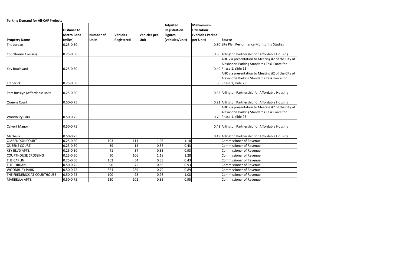**Parking Demand for All-CAF Projects** 

|                                |                    |                  |                   |              | <b>Adjusted</b> | <b>Maxmimum</b>    |                                                   |
|--------------------------------|--------------------|------------------|-------------------|--------------|-----------------|--------------------|---------------------------------------------------|
|                                | <b>Distance to</b> |                  |                   |              | Registration    | <b>Utilization</b> |                                                   |
|                                | <b>Metro Band</b>  | <b>Number of</b> | <b>Vehicles</b>   | Vehicles per | <b>Figures</b>  | (Vehicles Parked   |                                                   |
| <b>Property Name</b>           | (miles)            | <b>Units</b>     | <b>Registered</b> | Unit         | (vehicles/unit) | per Unit)          | Source                                            |
| The Jordan                     | $0.25 - 0.50$      |                  |                   |              |                 |                    | 0.80 Site Plan Performance Monitoring Studies     |
|                                |                    |                  |                   |              |                 |                    |                                                   |
| Courthouse Crossing            | $0.25 - 0.50$      |                  |                   |              |                 |                    | 0.80 Arlington Partnership for Affordable Housing |
|                                |                    |                  |                   |              |                 |                    | AHC via presentation to Meeting #2 of the City of |
|                                |                    |                  |                   |              |                 |                    | Alexandria Parking Standards Task Force for       |
| <b>Key Boulevard</b>           | $0.25 - 0.50$      |                  |                   |              |                 |                    | $0.40$ Phase 1, slide 23                          |
|                                |                    |                  |                   |              |                 |                    | AHC via presentation to Meeting #2 of the City of |
|                                |                    |                  |                   |              |                 |                    | Alexandria Parking Standards Task Force for       |
| Frederick                      | $0.25 - 0.50$      |                  |                   |              |                 |                    | 1.00 Phase 1, slide 23                            |
|                                |                    |                  |                   |              |                 |                    |                                                   |
| Parc Rosslyn (Affordable units | $0.25 - 0.50$      |                  |                   |              |                 |                    | 0.63 Arlington Partnership for Affordable Housing |
|                                |                    |                  |                   |              |                 |                    |                                                   |
| Queens Court                   | 0.50-0.75          |                  |                   |              |                 |                    | 0.21 Arlington Partnership for Affordable Housing |
|                                |                    |                  |                   |              |                 |                    | AHC via presentation to Meeting #2 of the City of |
|                                |                    |                  |                   |              |                 |                    | Alexandria Parking Standards Task Force for       |
| <b>Woodbury Park</b>           | 0.50-0.75          |                  |                   |              |                 |                    | 0.70 Phase 1, slide 23                            |
|                                |                    |                  |                   |              |                 |                    |                                                   |
| <b>Calvert Manor</b>           | 0.50-0.75          |                  |                   |              |                 |                    | 0.43 Arlington Partnership for Affordable Housing |
|                                |                    |                  |                   |              |                 |                    |                                                   |
| Marbella                       | 0.50-0.75          |                  |                   |              |                 |                    | 0.49 Arlington Partnership for Affordable Housing |
| <b>CLARENDON COURT</b>         | $0.25 - 0.50$      | 103              | 111               | 1.08         | 1.18            |                    | <b>Commissioner of Revenue</b>                    |
| <b>QUEENS COURT</b>            | $0.25 - 0.50$      | 39               | 13                | 0.33         | 0.43            |                    | Commissioner of Revenue                           |
| <b>KEY BLVD APTS.</b>          | $0.25 - 0.50$      | 41               | 34                | 0.83         | 0.93            |                    | Commissioner of Revenue                           |
| <b>COURTHOUSE CROSSING</b>     | $0.25 - 0.50$      | 90               | 106               | 1.18         | 1.28            |                    | <b>Commissioner of Revenue</b>                    |
| <b>THE CARLIN</b>              | $0.25 - 0.50$      | 162              | 54                | 0.33         | 0.43            |                    | <b>Commissioner of Revenue</b>                    |
| THE JORDAN                     | 0.50-0.75          | 90               | 75                | 0.83         | 0.93            |                    | <b>Commissioner of Revenue</b>                    |
| <b>WOODBURY PARK</b>           | 0.50-0.75          | 364              | 289               | 0.79         | 0.89            |                    | <b>Commissioner of Revenue</b>                    |
| THE FREDERICK AT COURTHOUSE    | 0.50-0.75          | 100              | 98                | 0.98         | 1.08            |                    | Commissioner of Revenue                           |
| MARBELLA APTS.                 | 0.50-0.75          | 120              | 102               | 0.85         | 0.95            |                    | <b>Commissioner of Revenue</b>                    |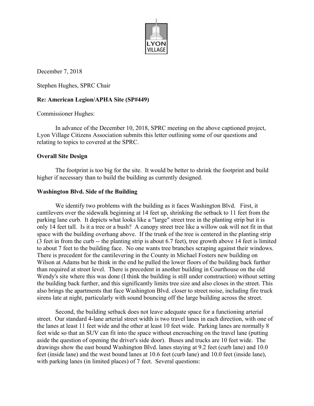

December 7, 2018

Stephen Hughes, SPRC Chair

#### **Re: American Legion/APHA Site (SP#449)**

Commissioner Hughes:

 In advance of the December 10, 2018, SPRC meeting on the above captioned project, Lyon Village Citizens Association submits this letter outlining some of our questions and relating to topics to covered at the SPRC.

#### **Overall Site Design**

 The footprint is too big for the site. It would be better to shrink the footprint and build higher if necessary than to build the building as currently designed.

#### **Washington Blvd. Side of the Building**

 We identify two problems with the building as it faces Washington Blvd. First, it cantilevers over the sidewalk beginning at 14 feet up, shrinking the setback to 11 feet from the parking lane curb. It depicts what looks like a "large" street tree in the planting strip but it is only 14 feet tall. Is it a tree or a bush? A canopy street tree like a willow oak will not fit in that space with the building overhang above. If the trunk of the tree is centered in the planting strip (3 feet in from the curb -- the planting strip is about 6.7 feet), tree growth above 14 feet is limited to about 7 feet to the building face. No one wants tree branches scraping against their windows. There is precedent for the cantilevering in the County in Michael Fosters new building on Wilson at Adams but he think in the end he pulled the lower floors of the building back further than required at street level. There is precedent in another building in Courthouse on the old Wendy's site where this was done (I think the building is still under construction) without setting the building back further, and this significantly limits tree size and also closes in the street. This also brings the apartments that face Washington Blvd. closer to street noise, including fire truck sirens late at night, particularly with sound bouncing off the large building across the street.

 Second, the building setback does not leave adequate space for a functioning arterial street. Our standard 4-lane arterial street width is two travel lanes in each direction, with one of the lanes at least 11 feet wide and the other at least 10 feet wide. Parking lanes are normally 8 feet wide so that an SUV can fit into the space without encroaching on the travel lane (putting aside the question of opening the driver's side door). Buses and trucks are 10 feet wide. The drawings show the east bound Washington Blvd. lanes staying at 9.2 feet (curb lane) and 10.0 feet (inside lane) and the west bound lanes at 10.6 feet (curb lane) and 10.0 feet (inside lane), with parking lanes (in limited places) of 7 feet. Several questions: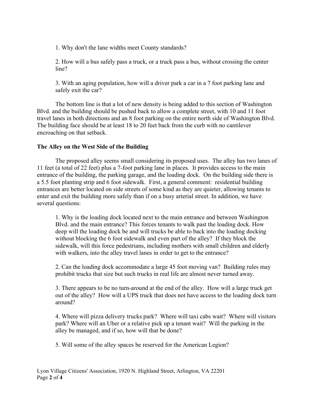1. Why don't the lane widths meet County standards?

2. How will a bus safely pass a truck, or a truck pass a bus, without crossing the center line?

3. With an aging population, how will a driver park a car in a 7 foot parking lane and safely exit the car?

 The bottom line is that a lot of new density is being added to this section of Washington Blvd. and the building should be pushed back to allow a complete street, with 10 and 11 foot travel lanes in both directions and an 8 foot parking on the entire north side of Washington Blvd. The building face should be at least 18 to 20 feet back from the curb with no cantilever encroaching on that setback.

### **The Alley on the West Side of the Building**

 The proposed alley seems small considering its proposed uses. The alley has two lanes of 11 feet (a total of 22 feet) plus a 7-foot parking lane in places. It provides access to the main entrance of the building, the parking garage, and the loading dock. On the building side there is a 5.5 foot planting strip and 6 foot sidewalk. First, a general comment: residential building entrances are better located on side streets of some kind as they are quieter, allowing tenants to enter and exit the building more safely than if on a busy arterial street. In addition, we have several questions:

1. Why is the loading dock located next to the main entrance and between Washington Blvd. and the main entrance? This forces tenants to walk past the loading dock. How deep will the loading dock be and will trucks be able to back into the loading docking without blocking the 6 foot sidewalk and even part of the alley? If they block the sidewalk, will this force pedestrians, including mothers with small children and elderly with walkers, into the alley travel lanes in order to get to the entrance?

2. Can the loading dock accommodate a large 45 foot moving van? Building rules may prohibit trucks that size but such trucks in real life are almost never turned away.

3. There appears to be no turn-around at the end of the alley. How will a large truck get out of the alley? How will a UPS truck that does not have access to the loading dock turn around?

4. Where will pizza delivery trucks park? Where will taxi cabs wait? Where will visitors park? Where will an Uber or a relative pick up a tenant wait? Will the parking in the alley be managed, and if so, how will that be done?

5. Will some of the alley spaces be reserved for the American Legion?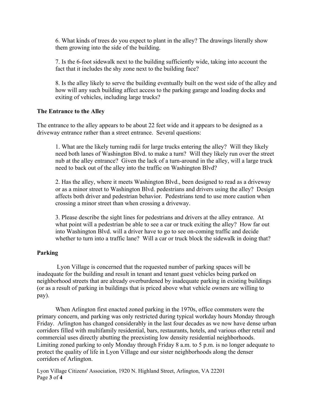6. What kinds of trees do you expect to plant in the alley? The drawings literally show them growing into the side of the building.

7. Is the 6-foot sidewalk next to the building sufficiently wide, taking into account the fact that it includes the shy zone next to the building face?

8. Is the alley likely to serve the building eventually built on the west side of the alley and how will any such building affect access to the parking garage and loading docks and exiting of vehicles, including large trucks?

#### **The Entrance to the Alley**

The entrance to the alley appears to be about 22 feet wide and it appears to be designed as a driveway entrance rather than a street entrance. Several questions:

1. What are the likely turning radii for large trucks entering the alley? Will they likely need both lanes of Washington Blvd. to make a turn? Will they likely run over the street nub at the alley entrance? Given the lack of a turn-around in the alley, will a large truck need to back out of the alley into the traffic on Washington Blvd?

2. Has the alley, where it meets Washington Blvd., been designed to read as a driveway or as a minor street to Washington Blvd. pedestrians and drivers using the alley? Design affects both driver and pedestrian behavior. Pedestrians tend to use more caution when crossing a minor street than when crossing a driveway.

3. Please describe the sight lines for pedestrians and drivers at the alley entrance. At what point will a pedestrian be able to see a car or truck exiting the alley? How far out into Washington Blvd. will a driver have to go to see on-coming traffic and decide whether to turn into a traffic lane? Will a car or truck block the sidewalk in doing that?

#### **Parking**

 Lyon Village is concerned that the requested number of parking spaces will be inadequate for the building and result in tenant and tenant guest vehicles being parked on neighborhood streets that are already overburdened by inadequate parking in existing buildings (or as a result of parking in buildings that is priced above what vehicle owners are willing to pay).

 When Arlington first enacted zoned parking in the 1970s, office commuters were the primary concern, and parking was only restricted during typical workday hours Monday through Friday. Arlington has changed considerably in the last four decades as we now have dense urban corridors filled with multifamily residential, bars, restaurants, hotels, and various other retail and commercial uses directly abutting the preexisting low density residential neighborhoods. Limiting zoned parking to only Monday through Friday 8 a.m. to 5 p.m. is no longer adequate to protect the quality of life in Lyon Village and our sister neighborhoods along the denser corridors of Arlington.

Lyon Village Citizens' Association, 1920 N. Highland Street, Arlington, VA 22201 Page **3** of **4**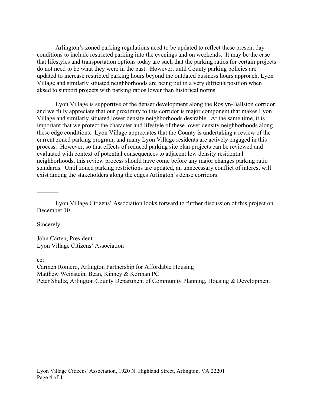Arlington's zoned parking regulations need to be updated to reflect these present day conditions to include restricted parking into the evenings and on weekends. It may be the case that lifestyles and transportation options today are such that the parking ratios for certain projects do not need to be what they were in the past. However, until County parking policies are updated to increase restricted parking hours beyond the outdated business hours approach, Lyon Village and similarly situated neighborhoods are being put in a very difficult position when aksed to support projects with parking ratios lower than historical norms.

 Lyon Village is supportive of the denser development along the Roslyn-Ballston corridor and we fully appreciate that our proximity to this corridor is major component that makes Lyon Village and similarly situated lower density neighborhoods desirable. At the same time, it is important that we protect the character and lifestyle of these lower density neighborhoods along these edge conditions. Lyon Village appreciates that the County is undertaking a review of the current zoned parking program, and many Lyon Village residents are actively engaged in this process. However, so that effects of reduced parking site plan projects can be reviewed and evaluated with context of potential consequences to adjacent low density residential neighborhoods, this review process should have come before any major changes parking ratio standards. Until zoned parking restrictions are updated, an unnecessary conflict of interest will exist among the stakeholders along the edges Arlington's dense corridors.

 Lyon Village Citizens' Association looks forward to further discussion of this project on December 10.

Sincerely,

John Carten, President Lyon Village Citizens' Association

cc:

Carmen Romero, Arlington Partnership for Affordable Housing Matthew Weinstein, Bean, Kinney & Korman PC Peter Shultz, Arlington County Department of Community Planning, Housing & Development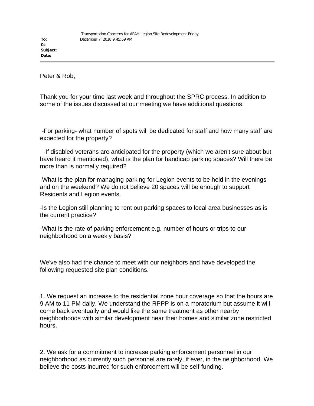**To: Cc Subject: Date:**

Peter & Rob,

Thank you for your time last week and throughout the SPRC process. In addition to some of the issues discussed at our meeting we have additional questions:

-For parking- what number of spots will be dedicated for staff and how many staff are expected for the property?

-If disabled veterans are anticipated for the property (which we aren't sure about but have heard it mentioned), what is the plan for handicap parking spaces? Will there be more than is normally required?

-What is the plan for managing parking for Legion events to be held in the evenings and on the weekend? We do not believe 20 spaces will be enough to support Residents and Legion events.

-Is the Legion still planning to rent out parking spaces to local area businesses as is the current practice?

-What is the rate of parking enforcement e.g. number of hours or trips to our neighborhood on a weekly basis?

We've also had the chance to meet with our neighbors and have developed the following requested site plan conditions.

1. We request an increase to the residential zone hour coverage so that the hours are 9 AM to 11 PM daily. We understand the RPPP is on a moratorium but assume it will come back eventually and would like the same treatment as other nearby neighborhoods with similar development near their homes and similar zone restricted hours.

2. We ask for a commitment to increase parking enforcement personnel in our neighborhood as currently such personnel are rarely, if ever, in the neighborhood. We believe the costs incurred for such enforcement will be self-funding.